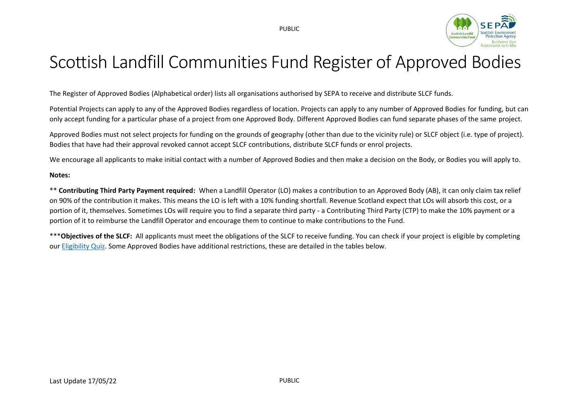

## Scottish Landfill Communities Fund Register of Approved Bodies

The Register of Approved Bodies (Alphabetical order) lists all organisations authorised by SEPA to receive and distribute SLCF funds.

Potential Projects can apply to any of the Approved Bodies regardless of location. Projects can apply to any number of Approved Bodies for funding, but can only accept funding for a particular phase of a project from one Approved Body. Different Approved Bodies can fund separate phases of the same project.

Approved Bodies must not select projects for funding on the grounds of geography (other than due to the vicinity rule) or SLCF object (i.e. type of project). Bodies that have had their approval revoked cannot accept SLCF contributions, distribute SLCF funds or enrol projects.

We encourage all applicants to make initial contact with a number of Approved Bodies and then make a decision on the Body, or Bodies you will apply to.

#### **Notes:**

\*\* **Contributing Third Party Payment required:** When a Landfill Operator (LO) makes a contribution to an Approved Body (AB), it can only claim tax relief on 90% of the contribution it makes. This means the LO is left with a 10% funding shortfall. Revenue Scotland expect that LOs will absorb this cost, or a portion of it, themselves. Sometimes LOs will require you to find a separate third party - a Contributing Third Party (CTP) to make the 10% payment or a portion of it to reimburse the Landfill Operator and encourage them to continue to make contributions to the Fund.

\*\*\***Objectives of the SLCF:** All applicants must meet the obligations of the SLCF to receive funding. You can check if your project is eligible by completing our [Eligibility Quiz.](https://scottishepa.typeform.com/to/YjmHzb) Some Approved Bodies have additional restrictions, these are detailed in the tables below.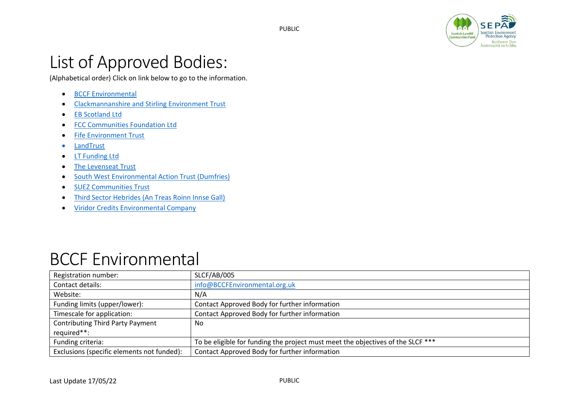

## List of Approved Bodies:

(Alphabetical order) Click on link below to go to the information.

- [BCCF Environmental](#page-2-0)
- [Clackmannanshire and Stirling Environment Trust](#page-2-0)
- [EB Scotland Ltd](#page-3-0)
- [FCC Communities Foundation Ltd](#page-4-0)
- [Fife Environment Trust](#page-4-1)
- [LandTrust](#page-6-0)
- [LT Funding Ltd](#page-7-0)
- [The Levenseat Trust](#page-8-0)
- South [West Environmental Action Trust \(Dumfries\)](#page-9-0)
- [SUEZ Communities Trust](#page-9-1)
- [Third Sector Hebrides \(An Treas Roinn Innse Gall\)](#page-11-0)
- [Viridor Credits Environmental Company](#page-12-0)

#### BCCF Environmental

| Registration number:                       | SLCF/AB/005                                                                     |
|--------------------------------------------|---------------------------------------------------------------------------------|
| Contact details:                           | info@BCCFEnvironmental.org.uk                                                   |
| Website:                                   | N/A                                                                             |
| Funding limits (upper/lower):              | Contact Approved Body for further information                                   |
| Timescale for application:                 | Contact Approved Body for further information                                   |
| <b>Contributing Third Party Payment</b>    | No                                                                              |
| required**:                                |                                                                                 |
| Funding criteria:                          | To be eligible for funding the project must meet the objectives of the SLCF *** |
| Exclusions (specific elements not funded): | Contact Approved Body for further information                                   |

PUBLIC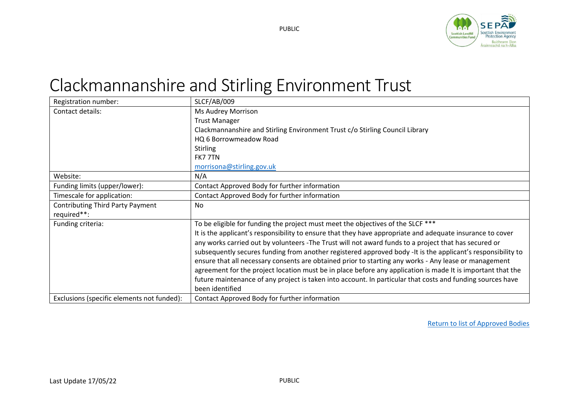

# <span id="page-2-0"></span>Clackmannanshire and Stirling Environment Trust

| Registration number:                       | SLCF/AB/009                                                                                                 |
|--------------------------------------------|-------------------------------------------------------------------------------------------------------------|
| Contact details:                           | Ms Audrey Morrison                                                                                          |
|                                            | <b>Trust Manager</b>                                                                                        |
|                                            | Clackmannanshire and Stirling Environment Trust c/o Stirling Council Library                                |
|                                            | HQ 6 Borrowmeadow Road                                                                                      |
|                                            | <b>Stirling</b>                                                                                             |
|                                            | FK7 7TN                                                                                                     |
|                                            | morrisona@stirling.gov.uk                                                                                   |
| Website:                                   | N/A                                                                                                         |
| Funding limits (upper/lower):              | Contact Approved Body for further information                                                               |
| Timescale for application:                 | Contact Approved Body for further information                                                               |
| <b>Contributing Third Party Payment</b>    | No                                                                                                          |
| required**:                                |                                                                                                             |
| Funding criteria:                          | To be eligible for funding the project must meet the objectives of the SLCF ***                             |
|                                            | It is the applicant's responsibility to ensure that they have appropriate and adequate insurance to cover   |
|                                            | any works carried out by volunteers -The Trust will not award funds to a project that has secured or        |
|                                            | subsequently secures funding from another registered approved body -It is the applicant's responsibility to |
|                                            | ensure that all necessary consents are obtained prior to starting any works - Any lease or management       |
|                                            | agreement for the project location must be in place before any application is made It is important that the |
|                                            | future maintenance of any project is taken into account. In particular that costs and funding sources have  |
|                                            | been identified                                                                                             |
| Exclusions (specific elements not funded): | Contact Approved Body for further information                                                               |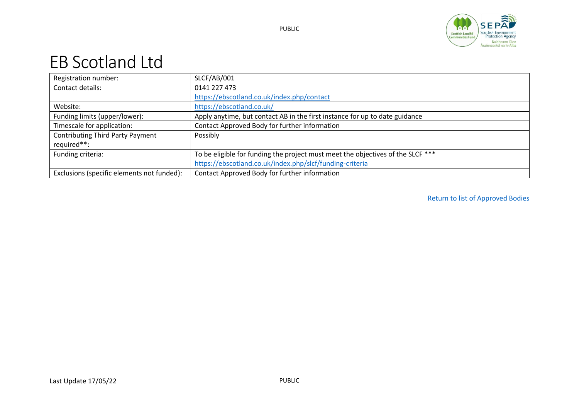

#### <span id="page-3-0"></span>EB Scotland Ltd

| Registration number:                       | SLCF/AB/001                                                                     |
|--------------------------------------------|---------------------------------------------------------------------------------|
| Contact details:                           | 0141 227 473                                                                    |
|                                            | https://ebscotland.co.uk/index.php/contact                                      |
| Website:                                   | https://ebscotland.co.uk/                                                       |
| Funding limits (upper/lower):              | Apply anytime, but contact AB in the first instance for up to date guidance     |
| Timescale for application:                 | Contact Approved Body for further information                                   |
| <b>Contributing Third Party Payment</b>    | Possibly                                                                        |
| required**:                                |                                                                                 |
| Funding criteria:                          | To be eligible for funding the project must meet the objectives of the SLCF *** |
|                                            | https://ebscotland.co.uk/index.php/slcf/funding-criteria                        |
| Exclusions (specific elements not funded): | Contact Approved Body for further information                                   |

PUBLIC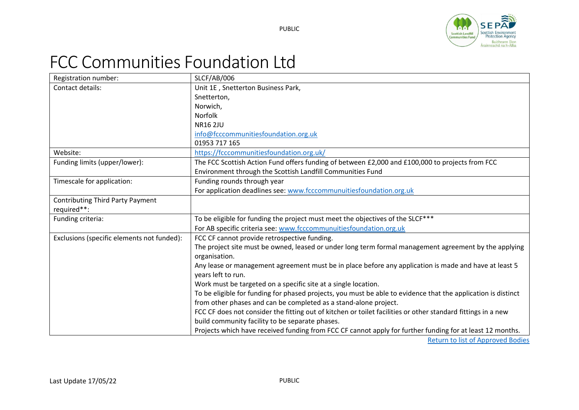

# <span id="page-4-0"></span>FCC Communities Foundation Ltd

<span id="page-4-1"></span>

| Registration number:                       | SLCF/AB/006                                                                                                   |
|--------------------------------------------|---------------------------------------------------------------------------------------------------------------|
| Contact details:                           | Unit 1E, Snetterton Business Park,                                                                            |
|                                            | Snetterton,                                                                                                   |
|                                            | Norwich,                                                                                                      |
|                                            | <b>Norfolk</b>                                                                                                |
|                                            | <b>NR16 2JU</b>                                                                                               |
|                                            | info@fcccommunitiesfoundation.org.uk                                                                          |
|                                            | 01953 717 165                                                                                                 |
| Website:                                   | https://fcccommunitiesfoundation.org.uk/                                                                      |
| Funding limits (upper/lower):              | The FCC Scottish Action Fund offers funding of between £2,000 and £100,000 to projects from FCC               |
|                                            | Environment through the Scottish Landfill Communities Fund                                                    |
| Timescale for application:                 | Funding rounds through year                                                                                   |
|                                            | For application deadlines see: www.fcccommunuitiesfoundation.org.uk                                           |
| <b>Contributing Third Party Payment</b>    |                                                                                                               |
| required**:                                |                                                                                                               |
| Funding criteria:                          | To be eligible for funding the project must meet the objectives of the SLCF***                                |
|                                            | For AB specific criteria see: www.fcccommunuitiesfoundation.org.uk                                            |
| Exclusions (specific elements not funded): | FCC CF cannot provide retrospective funding.                                                                  |
|                                            | The project site must be owned, leased or under long term formal management agreement by the applying         |
|                                            | organisation.                                                                                                 |
|                                            | Any lease or management agreement must be in place before any application is made and have at least 5         |
|                                            | years left to run.                                                                                            |
|                                            | Work must be targeted on a specific site at a single location.                                                |
|                                            | To be eligible for funding for phased projects, you must be able to evidence that the application is distinct |
|                                            | from other phases and can be completed as a stand-alone project.                                              |
|                                            | FCC CF does not consider the fitting out of kitchen or toilet facilities or other standard fittings in a new  |
|                                            | build community facility to be separate phases.                                                               |
|                                            | Projects which have received funding from FCC CF cannot apply for further funding for at least 12 months.     |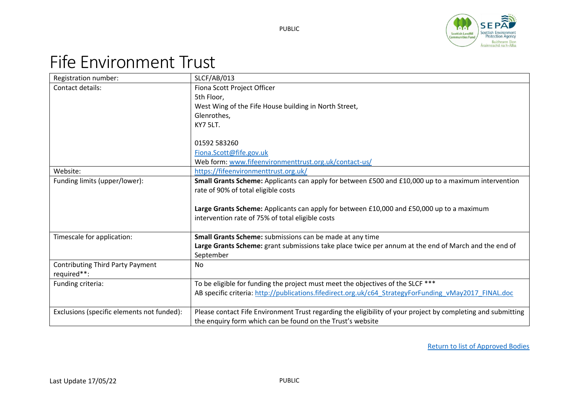

# Fife Environment Trust

| Registration number:                       | SLCF/AB/013                                                                                                  |
|--------------------------------------------|--------------------------------------------------------------------------------------------------------------|
| Contact details:                           | Fiona Scott Project Officer                                                                                  |
|                                            | 5th Floor,                                                                                                   |
|                                            | West Wing of the Fife House building in North Street,                                                        |
|                                            | Glenrothes,                                                                                                  |
|                                            | KY7 5LT.                                                                                                     |
|                                            |                                                                                                              |
|                                            | 01592 583260                                                                                                 |
|                                            | Fiona.Scott@fife.gov.uk                                                                                      |
|                                            | Web form: www.fifeenvironmenttrust.org.uk/contact-us/                                                        |
| Website:                                   | https://fifeenvironmenttrust.org.uk/                                                                         |
| Funding limits (upper/lower):              | Small Grants Scheme: Applicants can apply for between £500 and £10,000 up to a maximum intervention          |
|                                            | rate of 90% of total eligible costs                                                                          |
|                                            |                                                                                                              |
|                                            | Large Grants Scheme: Applicants can apply for between £10,000 and £50,000 up to a maximum                    |
|                                            | intervention rate of 75% of total eligible costs                                                             |
|                                            |                                                                                                              |
| Timescale for application:                 | Small Grants Scheme: submissions can be made at any time                                                     |
|                                            | Large Grants Scheme: grant submissions take place twice per annum at the end of March and the end of         |
|                                            | September                                                                                                    |
| <b>Contributing Third Party Payment</b>    | <b>No</b>                                                                                                    |
| required**:                                |                                                                                                              |
| Funding criteria:                          | To be eligible for funding the project must meet the objectives of the SLCF ***                              |
|                                            | AB specific criteria: http://publications.fifedirect.org.uk/c64 StrategyForFunding vMay2017 FINAL.doc        |
|                                            |                                                                                                              |
| Exclusions (specific elements not funded): | Please contact Fife Environment Trust regarding the eligibility of your project by completing and submitting |
|                                            | the enquiry form which can be found on the Trust's website                                                   |

PUBLIC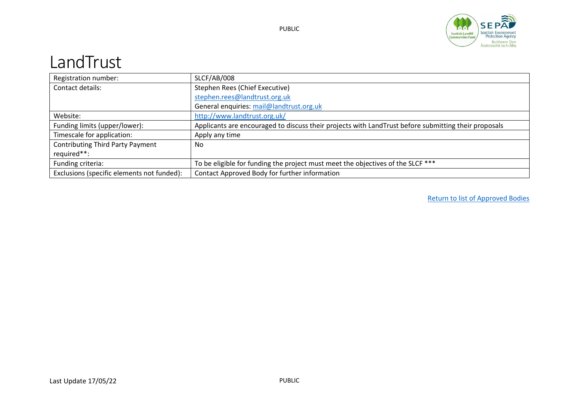

### <span id="page-6-0"></span>LandTrust

| Registration number:                       | SLCF/AB/008                                                                                          |
|--------------------------------------------|------------------------------------------------------------------------------------------------------|
| Contact details:                           | Stephen Rees (Chief Executive)                                                                       |
|                                            | stephen.rees@landtrust.org.uk                                                                        |
|                                            | General enquiries: mail@landtrust.org.uk                                                             |
| Website:                                   | http://www.landtrust.org.uk/                                                                         |
| Funding limits (upper/lower):              | Applicants are encouraged to discuss their projects with LandTrust before submitting their proposals |
| Timescale for application:                 | Apply any time                                                                                       |
| <b>Contributing Third Party Payment</b>    | No                                                                                                   |
| required**:                                |                                                                                                      |
| Funding criteria:                          | To be eligible for funding the project must meet the objectives of the SLCF ***                      |
| Exclusions (specific elements not funded): | Contact Approved Body for further information                                                        |

PUBLIC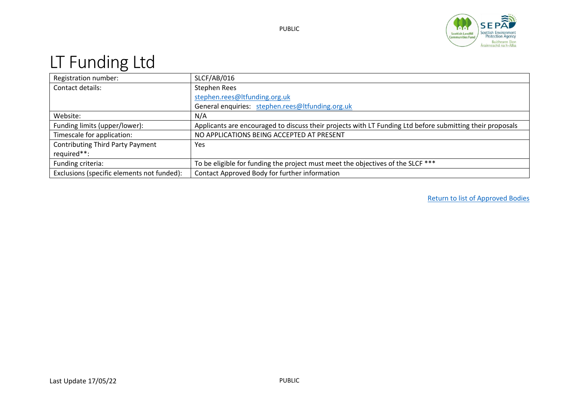

## <span id="page-7-0"></span>LT Funding Ltd

| Registration number:                       | SLCF/AB/016                                                                                               |
|--------------------------------------------|-----------------------------------------------------------------------------------------------------------|
| Contact details:                           | Stephen Rees                                                                                              |
|                                            | stephen.rees@ltfunding.org.uk                                                                             |
|                                            | General enquiries: stephen.rees@ltfunding.org.uk                                                          |
| Website:                                   | N/A                                                                                                       |
| Funding limits (upper/lower):              | Applicants are encouraged to discuss their projects with LT Funding Ltd before submitting their proposals |
| Timescale for application:                 | NO APPLICATIONS BEING ACCEPTED AT PRESENT                                                                 |
| <b>Contributing Third Party Payment</b>    | <b>Yes</b>                                                                                                |
| required**:                                |                                                                                                           |
| Funding criteria:                          | To be eligible for funding the project must meet the objectives of the SLCF ***                           |
| Exclusions (specific elements not funded): | Contact Approved Body for further information                                                             |

PUBLIC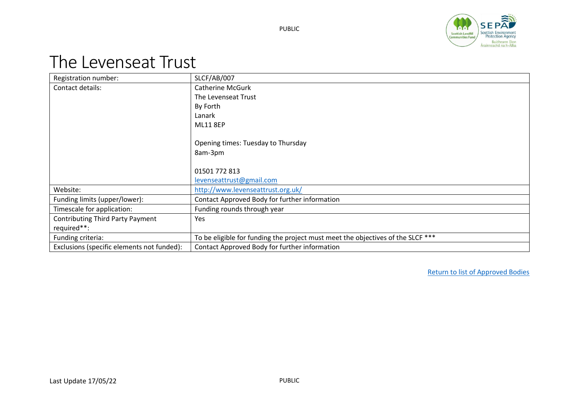

#### <span id="page-8-0"></span>The Levenseat Trust

|                                            | SLCF/AB/007                                                                     |
|--------------------------------------------|---------------------------------------------------------------------------------|
| Registration number:                       |                                                                                 |
| Contact details:                           | <b>Catherine McGurk</b>                                                         |
|                                            | The Levenseat Trust                                                             |
|                                            | By Forth                                                                        |
|                                            | Lanark                                                                          |
|                                            | <b>ML11 8EP</b>                                                                 |
|                                            |                                                                                 |
|                                            | Opening times: Tuesday to Thursday                                              |
|                                            | 8am-3pm                                                                         |
|                                            |                                                                                 |
|                                            | 01501 772 813                                                                   |
|                                            | levenseattrust@gmail.com                                                        |
| Website:                                   | http://www.levenseattrust.org.uk/                                               |
| Funding limits (upper/lower):              | Contact Approved Body for further information                                   |
| Timescale for application:                 | Funding rounds through year                                                     |
| <b>Contributing Third Party Payment</b>    | Yes                                                                             |
| required**:                                |                                                                                 |
| Funding criteria:                          | To be eligible for funding the project must meet the objectives of the SLCF *** |
| Exclusions (specific elements not funded): | Contact Approved Body for further information                                   |

PUBLIC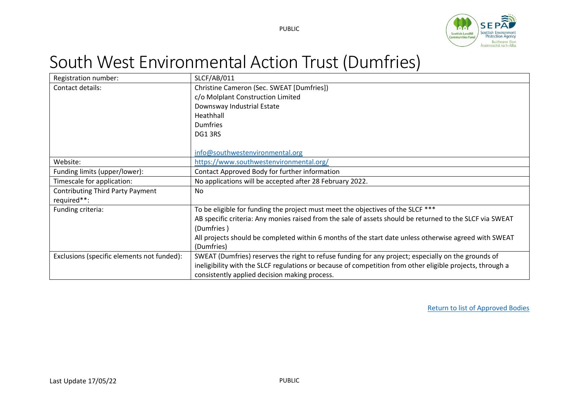

## <span id="page-9-0"></span>South West Environmental Action Trust (Dumfries)

<span id="page-9-1"></span>

| Registration number:                       | SLCF/AB/011                                                                                               |
|--------------------------------------------|-----------------------------------------------------------------------------------------------------------|
| Contact details:                           | Christine Cameron (Sec. SWEAT [Dumfries])                                                                 |
|                                            | c/o Molplant Construction Limited                                                                         |
|                                            | Downsway Industrial Estate                                                                                |
|                                            | Heathhall                                                                                                 |
|                                            | <b>Dumfries</b>                                                                                           |
|                                            | DG13RS                                                                                                    |
|                                            |                                                                                                           |
|                                            | info@southwestenvironmental.org                                                                           |
| Website:                                   | https://www.southwestenvironmental.org/                                                                   |
| Funding limits (upper/lower):              | Contact Approved Body for further information                                                             |
| Timescale for application:                 | No applications will be accepted after 28 February 2022.                                                  |
| <b>Contributing Third Party Payment</b>    | No                                                                                                        |
| required**:                                |                                                                                                           |
| Funding criteria:                          | To be eligible for funding the project must meet the objectives of the SLCF ***                           |
|                                            | AB specific criteria: Any monies raised from the sale of assets should be returned to the SLCF via SWEAT  |
|                                            | (Dumfries)                                                                                                |
|                                            | All projects should be completed within 6 months of the start date unless otherwise agreed with SWEAT     |
|                                            | (Dumfries)                                                                                                |
| Exclusions (specific elements not funded): | SWEAT (Dumfries) reserves the right to refuse funding for any project; especially on the grounds of       |
|                                            | ineligibility with the SLCF regulations or because of competition from other eligible projects, through a |
|                                            | consistently applied decision making process.                                                             |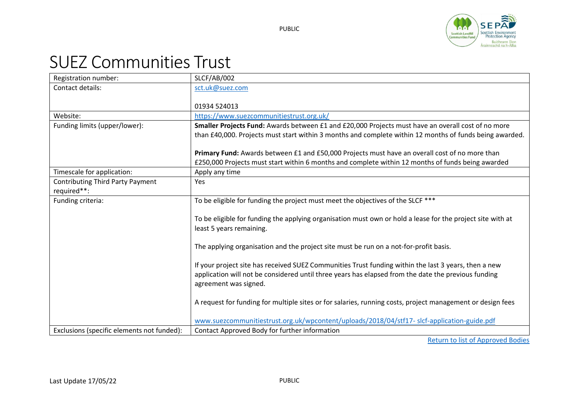

## SUEZ Communities Trust

| Registration number:                       | <b>SLCF/AB/002</b>                                                                                         |
|--------------------------------------------|------------------------------------------------------------------------------------------------------------|
| Contact details:                           | sct.uk@suez.com                                                                                            |
|                                            |                                                                                                            |
|                                            | 01934 524013                                                                                               |
| Website:                                   | https://www.suezcommunitiestrust.org.uk/                                                                   |
| Funding limits (upper/lower):              | Smaller Projects Fund: Awards between £1 and £20,000 Projects must have an overall cost of no more         |
|                                            | than £40,000. Projects must start within 3 months and complete within 12 months of funds being awarded.    |
|                                            |                                                                                                            |
|                                            | Primary Fund: Awards between £1 and £50,000 Projects must have an overall cost of no more than             |
|                                            | £250,000 Projects must start within 6 months and complete within 12 months of funds being awarded          |
| Timescale for application:                 | Apply any time                                                                                             |
| <b>Contributing Third Party Payment</b>    | Yes                                                                                                        |
| required**:                                |                                                                                                            |
| Funding criteria:                          | To be eligible for funding the project must meet the objectives of the SLCF ***                            |
|                                            |                                                                                                            |
|                                            | To be eligible for funding the applying organisation must own or hold a lease for the project site with at |
|                                            | least 5 years remaining.                                                                                   |
|                                            |                                                                                                            |
|                                            | The applying organisation and the project site must be run on a not-for-profit basis.                      |
|                                            |                                                                                                            |
|                                            | If your project site has received SUEZ Communities Trust funding within the last 3 years, then a new       |
|                                            | application will not be considered until three years has elapsed from the date the previous funding        |
|                                            | agreement was signed.                                                                                      |
|                                            |                                                                                                            |
|                                            | A request for funding for multiple sites or for salaries, running costs, project management or design fees |
|                                            | www.suezcommunitiestrust.org.uk/wpcontent/uploads/2018/04/stf17- slcf-application-guide.pdf                |
| Exclusions (specific elements not funded): |                                                                                                            |
|                                            | Contact Approved Body for further information<br>Distribution for Black of American conditional to         |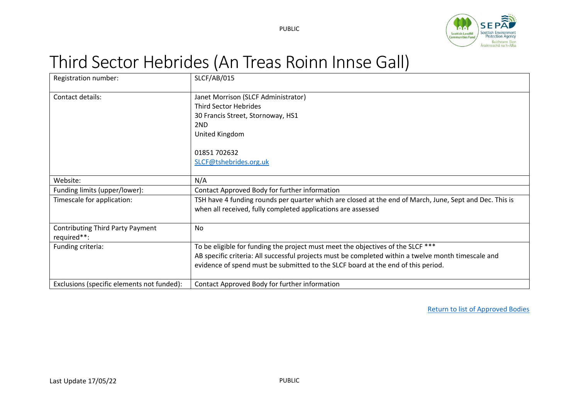

# <span id="page-11-0"></span>Third Sector Hebrides (An Treas Roinn Innse Gall)

| Registration number:                       | <b>SLCF/AB/015</b>                                                                                      |
|--------------------------------------------|---------------------------------------------------------------------------------------------------------|
| Contact details:                           | Janet Morrison (SLCF Administrator)                                                                     |
|                                            | <b>Third Sector Hebrides</b>                                                                            |
|                                            | 30 Francis Street, Stornoway, HS1                                                                       |
|                                            | 2ND                                                                                                     |
|                                            | United Kingdom                                                                                          |
|                                            |                                                                                                         |
|                                            | 01851 702632                                                                                            |
|                                            | SLCF@tshebrides.org.uk                                                                                  |
|                                            |                                                                                                         |
| Website:                                   | N/A                                                                                                     |
| Funding limits (upper/lower):              | Contact Approved Body for further information                                                           |
| Timescale for application:                 | TSH have 4 funding rounds per quarter which are closed at the end of March, June, Sept and Dec. This is |
|                                            | when all received, fully completed applications are assessed                                            |
|                                            |                                                                                                         |
| <b>Contributing Third Party Payment</b>    | <b>No</b>                                                                                               |
| required**:                                |                                                                                                         |
| Funding criteria:                          | To be eligible for funding the project must meet the objectives of the SLCF ***                         |
|                                            | AB specific criteria: All successful projects must be completed within a twelve month timescale and     |
|                                            | evidence of spend must be submitted to the SLCF board at the end of this period.                        |
|                                            |                                                                                                         |
| Exclusions (specific elements not funded): | Contact Approved Body for further information                                                           |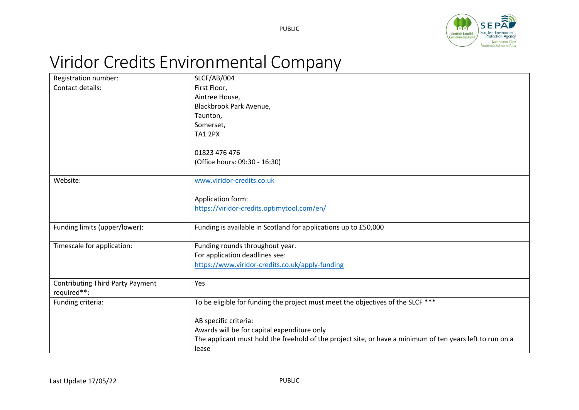

# <span id="page-12-0"></span>Viridor Credits Environmental Company

| Registration number:                    | SLCF/AB/004                                                                                               |
|-----------------------------------------|-----------------------------------------------------------------------------------------------------------|
| Contact details:                        | First Floor,                                                                                              |
|                                         | Aintree House,                                                                                            |
|                                         | Blackbrook Park Avenue,                                                                                   |
|                                         | Taunton,                                                                                                  |
|                                         | Somerset,                                                                                                 |
|                                         | <b>TA1 2PX</b>                                                                                            |
|                                         |                                                                                                           |
|                                         | 01823 476 476                                                                                             |
|                                         | (Office hours: 09:30 - 16:30)                                                                             |
| Website:                                | www.viridor-credits.co.uk                                                                                 |
|                                         |                                                                                                           |
|                                         | Application form:                                                                                         |
|                                         | https://viridor-credits.optimytool.com/en/                                                                |
|                                         |                                                                                                           |
| Funding limits (upper/lower):           | Funding is available in Scotland for applications up to £50,000                                           |
|                                         |                                                                                                           |
| Timescale for application:              | Funding rounds throughout year.                                                                           |
|                                         | For application deadlines see:                                                                            |
|                                         | https://www.viridor-credits.co.uk/apply-funding                                                           |
| <b>Contributing Third Party Payment</b> | Yes                                                                                                       |
| required**:                             |                                                                                                           |
| Funding criteria:                       | To be eligible for funding the project must meet the objectives of the SLCF ***                           |
|                                         |                                                                                                           |
|                                         | AB specific criteria:                                                                                     |
|                                         | Awards will be for capital expenditure only                                                               |
|                                         | The applicant must hold the freehold of the project site, or have a minimum of ten years left to run on a |
|                                         | lease                                                                                                     |